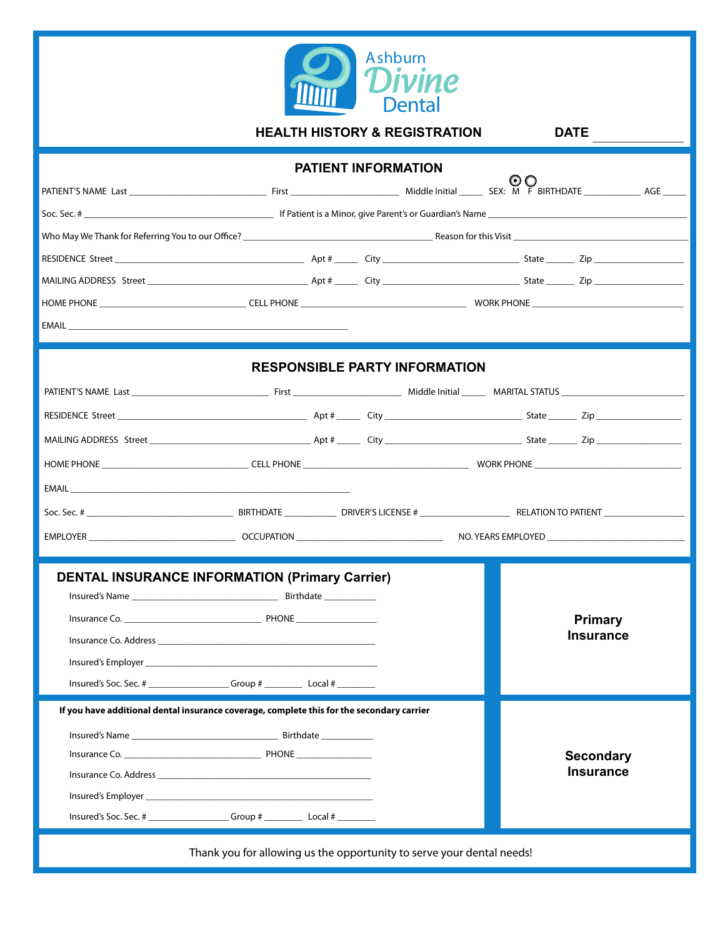

**HEALTH HISTORY & REGISTRATION DATE** Ï **PATIENT INFORMATION**  RESIDENCE Street MAILING ADDRESS Street j Ï  $\bigcirc$   $\bigcirc$   $\bigcirc$   $\bigcirc$   $\bigcirc$   $\bigcirc$   $\bigcirc$   $\bigcirc$   $\bigcirc$   $\bigcirc$   $\bigcirc$   $\bigcirc$   $\bigcirc$   $\bigcirc$   $\bigcirc$   $\bigcirc$   $\bigcirc$   $\bigcirc$   $\bigcirc$   $\bigcirc$   $\bigcirc$   $\bigcirc$   $\bigcirc$   $\bigcirc$   $\bigcirc$   $\bigcirc$   $\bigcirc$   $\bigcirc$   $\bigcirc$   $\bigcirc$   $\bigcirc$   $\bigcirc$   $\bigcirc$   $\bigcirc$   $\bigcirc$   $\bigcirc$   $\bigcirc$ Soc. Sec. # \_\_\_\_\_\_\_\_\_\_\_\_\_\_\_\_\_\_\_\_\_\_\_\_\_\_\_\_\_\_\_\_\_\_\_\_\_\_\_\_ If Patient is a Minor, give Parent's or Guardian's Name \_\_\_\_\_\_\_\_\_\_\_\_\_\_\_\_\_\_\_\_\_\_\_\_\_\_\_\_\_\_\_\_\_\_\_\_\_\_\_\_\_\_ Who May We Thank for Referring You to our Oce? \_\_\_\_\_\_\_\_\_\_\_\_\_\_\_\_\_\_\_\_\_\_\_\_\_\_\_\_\_\_\_\_\_\_\_\_\_\_\_\_ Reason for this Visit \_\_\_\_\_\_\_\_\_\_\_\_\_\_\_\_\_\_\_\_\_\_\_\_\_\_\_\_\_\_\_\_\_\_\_\_\_ RESIDENCE Street \_\_\_\_\_\_\_\_\_\_\_\_\_\_\_\_\_\_\_\_\_\_\_\_\_\_\_\_\_\_\_\_\_\_\_\_\_\_\_\_ Apt # \_\_\_\_\_ City \_\_\_\_\_\_\_\_\_\_\_\_\_\_\_\_\_\_\_\_\_\_\_\_\_\_\_\_\_ State \_\_\_\_\_\_ Zip \_\_\_\_\_\_\_\_\_\_\_\_\_\_\_\_\_\_\_ MAILING ADDRESS Street \_\_\_\_\_\_\_\_\_\_\_\_\_\_\_\_\_\_\_\_\_\_\_\_\_\_\_\_\_\_\_\_\_\_ Apt # \_\_\_\_\_ City \_\_\_\_\_\_\_\_\_\_\_\_\_\_\_\_\_\_\_\_\_\_\_\_\_\_\_\_\_ State \_\_\_\_\_\_ Zip \_\_\_\_\_\_\_\_\_\_\_\_\_\_\_\_\_\_\_ HOME PHONE \_\_\_\_\_\_\_\_\_\_\_\_\_\_\_\_\_\_\_\_\_\_\_\_\_\_\_\_\_\_\_ CELL PHONE \_\_\_\_\_\_\_\_\_\_\_\_\_\_\_\_\_\_\_\_\_\_\_\_\_\_\_\_\_\_\_\_\_\_\_ WORK PHONE \_\_\_\_\_\_\_\_\_\_\_\_\_\_\_\_\_\_\_\_\_\_\_\_\_\_\_\_\_\_\_\_ EMAIL \_\_\_\_\_\_\_\_\_\_\_\_\_\_\_\_\_\_\_\_\_\_\_\_\_\_\_\_\_\_\_\_\_\_\_\_\_\_\_\_\_\_\_\_\_\_\_\_\_\_\_\_\_\_\_\_\_\_\_ RESIDENCE Street \_\_\_\_\_\_\_\_\_\_\_\_\_\_\_\_\_\_\_\_\_\_\_\_\_\_\_\_\_\_\_\_\_\_\_\_\_\_\_\_ Apt # \_\_\_\_\_ City \_\_\_\_\_\_\_\_\_\_\_\_\_\_\_\_\_\_\_\_\_\_\_\_\_\_\_\_\_ State \_\_\_\_\_\_ Zip \_\_\_\_\_\_\_\_\_\_\_\_\_\_\_\_\_\_ MAILING ADDRESS Street \_\_\_\_\_\_\_\_\_\_\_\_\_\_\_\_\_\_\_\_\_\_\_\_\_\_\_\_\_\_\_\_\_\_ Apt # \_\_\_\_\_ City \_\_\_\_\_\_\_\_\_\_\_\_\_\_\_\_\_\_\_\_\_\_\_\_\_\_\_\_\_ State \_\_\_\_\_\_ Zip \_\_\_\_\_\_\_\_\_\_\_\_\_\_\_\_\_\_ HOME PHONE \_\_\_\_\_\_\_\_\_\_\_\_\_\_\_\_\_\_\_\_\_\_\_\_\_\_\_\_\_\_\_ CELL PHONE \_\_\_\_\_\_\_\_\_\_\_\_\_\_\_\_\_\_\_\_\_\_\_\_\_\_\_\_\_\_\_\_\_\_\_ WORK PHONE \_\_\_\_\_\_\_\_\_\_\_\_\_\_\_\_\_\_\_\_\_\_\_\_\_\_\_\_\_\_\_ EMAIL \_\_\_\_\_\_\_\_\_\_\_\_\_\_\_\_\_\_\_\_\_\_\_\_\_\_\_\_\_\_\_\_\_\_\_\_\_\_\_\_\_\_\_\_\_\_\_\_\_\_\_\_\_\_\_\_\_\_\_ PATIENT'S NAME Last \_\_\_\_\_\_\_\_\_\_\_\_\_\_\_\_\_\_\_\_\_\_\_\_\_\_\_\_\_ First \_\_\_\_\_\_\_\_\_\_\_\_\_\_\_\_\_\_\_\_\_\_\_ Middle Initial \_\_\_\_\_ MARITAL STATUS \_\_\_\_\_\_\_\_\_\_\_\_\_\_\_\_\_\_\_\_\_\_\_\_\_\_ Soc. Sec. # \_\_\_\_\_\_\_\_\_\_\_\_\_\_\_\_\_\_\_\_\_\_\_\_\_\_\_\_\_\_\_ BIRTHDATE \_\_\_\_\_\_\_\_\_\_\_ DRIVER'S LICENSE # \_\_\_\_\_\_\_\_\_\_\_\_\_\_\_\_\_\_\_ RELATION TO PATIENT \_\_\_\_\_\_\_\_\_\_\_\_\_\_\_\_\_ EMPLOYER \_\_\_\_\_\_\_\_\_\_\_\_\_\_\_\_\_\_\_\_\_\_\_\_\_\_\_\_\_\_\_ OCCUPATION \_\_\_\_\_\_\_\_\_\_\_\_\_\_\_\_\_\_\_\_\_\_\_\_\_\_\_\_\_\_\_ NO. YEARS EMPLOYED \_\_\_\_\_\_\_\_\_\_\_\_\_\_\_\_\_\_\_\_\_\_\_\_\_\_\_\_\_ **RESPONSIBLE PARTY INFORMATION DENTAL INSURANCE INFORMATION (Primary Carrier)** Insured's Name \_\_\_\_\_\_\_\_\_\_\_\_\_\_\_\_\_\_\_\_\_\_\_\_\_\_\_\_\_\_\_ Insurance Co. \_\_\_\_\_\_\_\_\_\_\_\_\_\_\_\_\_\_\_\_\_\_\_\_\_\_\_\_\_ PHONE \_\_\_\_\_\_\_\_\_\_\_\_\_\_\_\_\_ Insurance Co. Address \_\_\_\_\_\_\_\_\_\_\_\_\_\_\_\_\_\_\_\_\_\_\_\_\_\_\_\_\_\_\_\_\_\_\_\_\_\_\_\_\_\_\_\_\_\_ Insured's Employer Insured's Soc. Sec. # \_\_\_\_\_\_\_\_\_\_\_\_\_\_\_\_\_ Group # \_\_\_\_\_\_\_\_ Local # \_\_\_\_\_\_\_\_ **If you have additional dental insurance coverage, complete this for the secondary carrier** Insured's Name \_\_\_\_\_\_\_\_\_\_\_\_\_\_\_\_\_\_\_\_\_\_\_\_\_\_\_\_\_\_\_ Birthdate \_\_\_\_\_\_\_\_\_\_\_ Insurance Co. \_\_\_\_\_\_\_\_\_\_\_\_\_\_\_\_\_\_\_\_\_\_\_\_\_\_\_\_\_ PHONE \_\_\_\_\_\_\_\_\_\_\_\_\_\_\_\_ Insurance Co. Address \_\_\_\_\_\_\_\_\_\_\_\_\_\_\_\_\_\_\_\_\_\_\_\_\_\_\_\_\_\_\_\_\_\_\_\_\_\_\_\_\_\_\_\_\_ Insured's Employer \_\_\_\_\_\_\_\_\_\_\_\_\_\_\_\_\_\_\_\_\_\_\_\_\_\_\_\_\_\_\_\_\_\_\_\_\_\_\_\_\_\_\_\_\_\_\_\_ **Primary Insurance Secondary Insurance** Birthdate \_\_\_\_\_\_\_\_\_\_\_

Thank you for allowing us the opportunity to serve your dental needs!

Insured's Soc. Sec. # \_\_\_\_\_\_\_\_\_\_\_\_\_\_\_\_\_ Group # \_\_\_\_\_\_\_\_ Local # \_\_\_\_\_\_\_\_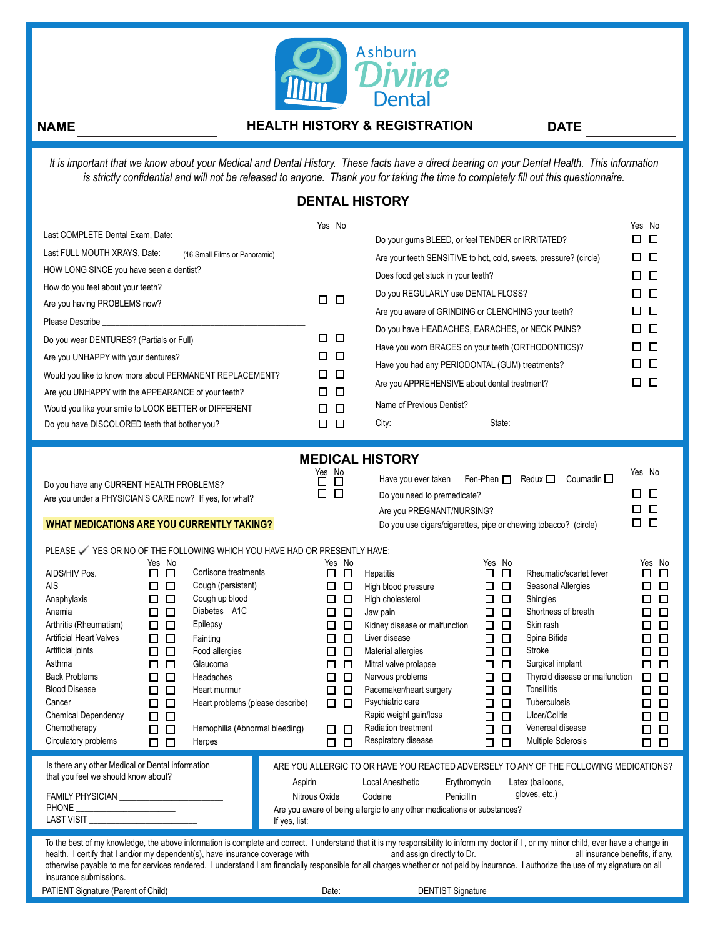

# **NAME**

Ï

## **HEALTH HISTORY & REGISTRATION DATE**

*It is important that we know about your Medical and Dental History. These facts have a direct bearing on your Dental Health. This information is strictly confidential and will not be released to anyone. Thank you for taking the time to completely fill out this questionnaire.*

# **DENTAL HISTORY**

| Last COMPLETE Dental Exam, Date:<br>Last FULL MOUTH XRAYS, Date:<br>HOW LONG SINCE you have seen a dentist?<br>How do you feel about your teeth?<br>Are you having PROBLEMS now?<br>Please Describe<br>Do you wear DENTURES? (Partials or Full)<br>Are you UNHAPPY with your dentures?<br>Would you like to know more about PERMANENT REPLACEMENT?<br>Are you UNHAPPY with the APPEARANCE of your teeth?<br>Would you like your smile to LOOK BETTER or DIFFERENT<br>Do you have DISCOLORED teeth that bother you? |                                                                                                                                                                                                                             | (16 Small Films or Panoramic)<br><u> 1989 - Johann Harrison, fransk politik (d. 1989)</u>                                                                                                                                                              |         | Yes No<br>口.<br>口<br>□<br>$\Box$<br>$\Box$<br>□<br>$\Box$<br>□<br>$\Box$<br>□<br>$\Box$<br>□<br>$\Box$ $\Box$                                                             | Do your gums BLEED, or feel TENDER or IRRITATED?<br>Does food get stuck in your teeth?<br>Do you REGULARLY use DENTAL FLOSS?<br>Are you aware of GRINDING or CLENCHING your teeth?<br>Do you have HEADACHES, EARACHES, or NECK PAINS?<br>Have you worn BRACES on your teeth (ORTHODONTICS)?<br>Have you had any PERIODONTAL (GUM) treatments?<br>Are you APPREHENSIVE about dental treatment?<br>Name of Previous Dentist?<br>City:<br><b>MEDICAL HISTORY</b> | State:                                                                                                                                                                                                 | Are your teeth SENSITIVE to hot, cold, sweets, pressure? (circle)                                                                                                                                                                                                                                                                                                                      | Yes No<br>8 B<br>$\Box$ $\Box$<br>$\Box$ $\Box$<br>$\Box$ $\Box$<br>□<br>0<br>□□<br>$\Box$ $\Box$<br>8 D<br>□□□                                                                                                                           |
|--------------------------------------------------------------------------------------------------------------------------------------------------------------------------------------------------------------------------------------------------------------------------------------------------------------------------------------------------------------------------------------------------------------------------------------------------------------------------------------------------------------------|-----------------------------------------------------------------------------------------------------------------------------------------------------------------------------------------------------------------------------|--------------------------------------------------------------------------------------------------------------------------------------------------------------------------------------------------------------------------------------------------------|---------|---------------------------------------------------------------------------------------------------------------------------------------------------------------------------|---------------------------------------------------------------------------------------------------------------------------------------------------------------------------------------------------------------------------------------------------------------------------------------------------------------------------------------------------------------------------------------------------------------------------------------------------------------|--------------------------------------------------------------------------------------------------------------------------------------------------------------------------------------------------------|----------------------------------------------------------------------------------------------------------------------------------------------------------------------------------------------------------------------------------------------------------------------------------------------------------------------------------------------------------------------------------------|-------------------------------------------------------------------------------------------------------------------------------------------------------------------------------------------------------------------------------------------|
| Do you have any CURRENT HEALTH PROBLEMS?<br>Are you under a PHYSICIAN'S CARE now? If yes, for what?<br><b>WHAT MEDICATIONS ARE YOU CURRENTLY TAKING?</b>                                                                                                                                                                                                                                                                                                                                                           |                                                                                                                                                                                                                             |                                                                                                                                                                                                                                                        |         | $\overline{\Box}^{\text{Yes}}$ No<br>П.<br>$\Box$                                                                                                                         | Have you ever taken<br>Do you need to premedicate?<br>Are you PREGNANT/NURSING?                                                                                                                                                                                                                                                                                                                                                                               | Fen-Phen $\square$                                                                                                                                                                                     | Redux $\Box$<br>Coumadin $\square$<br>Do you use cigars/cigarettes, pipe or chewing tobacco? (circle)                                                                                                                                                                                                                                                                                  | Yes No<br>0 O<br>□<br>□<br>$\Box$ $\Box$                                                                                                                                                                                                  |
| PLEASE V YES OR NO OF THE FOLLOWING WHICH YOU HAVE HAD OR PRESENTLY HAVE:<br>AIDS/HIV Pos.<br><b>AIS</b><br>Anaphylaxis<br>Anemia<br>Arthritis (Rheumatism)<br>Artificial Heart Valves<br>Artificial joints<br>Asthma<br><b>Back Problems</b><br><b>Blood Disease</b><br>Cancer<br><b>Chemical Dependency</b><br>Chemotherapy<br>Circulatory problems<br>Is there any other Medical or Dental information                                                                                                          | Yes No<br>□□<br>$\Box$ $\Box$<br>□<br>□<br>0 O<br>$\Box$<br>$\Box$<br>□<br>$\Box$<br>$\Box$<br>0.<br>$\Box$<br>$\Box$<br>□<br>$\Box$<br>$\Box$<br>□<br>$\Box$<br>$\Box$<br>$\Box$<br>□<br>$\Box$<br>$\Box$<br>$\Box$ $\Box$ | Cortisone treatments<br>Cough (persistent)<br>Cough up blood<br>Diabetes A1C<br>Epilepsy<br>Fainting<br>Food allergies<br>Glaucoma<br><b>Headaches</b><br>Heart murmur<br>Heart problems (please describe)<br>Hemophilia (Abnormal bleeding)<br>Herpes |         | Yes No<br>□□<br>□□<br>□<br>$\Box$<br>$\Box$<br>□<br>$\Box$<br>$\Box$<br>$\Box$<br>□<br>□□<br>$\Box$<br>□<br>О.<br>□<br>$\Box$<br>□<br>□□<br>$\Box$<br>0.<br>$\Box$ $\Box$ | <b>Hepatitis</b><br>High blood pressure<br>High cholesterol<br>Jaw pain<br>Kidney disease or malfunction<br>Liver disease<br>Material allergies<br>Mitral valve prolapse<br>Nervous problems<br>Pacemaker/heart surgery<br>Psychiatric care<br>Rapid weight gain/loss<br><b>Radiation treatment</b><br>Respiratory disease                                                                                                                                    | Yes No<br>□<br>0<br>$\Box$<br>0<br>□<br>□<br>$\Box$<br>$\Box$<br>$\Box$<br>0<br>□<br>□<br>$\Box$<br>□<br>□<br>$\Box$<br>$\Box$<br>□<br>$\Box$<br>□<br>$\Box$<br>$\Box$<br>$\Box$<br>□<br>□<br>□<br>0 O | Rheumatic/scarlet fever<br>Seasonal Allergies<br>Shingles<br>Shortness of breath<br>Skin rash<br>Spina Bifida<br><b>Stroke</b><br>Surgical implant<br>Thyroid disease or malfunction<br><b>Tonsillitis</b><br><b>Tuberculosis</b><br>Ulcer/Colitis<br>Venereal disease<br>Multiple Sclerosis<br>ARE YOU ALLERGIC TO OR HAVE YOU REACTED ADVERSELY TO ANY OF THE FOLLOWING MEDICATIONS? | Yes No<br>$\Box$<br>□<br>$\Box$ $\Box$<br>□<br>$\Box$<br>0 O<br>$\Box$ $\Box$<br>$\Box$<br>□<br>$\Box$<br>◻<br>$\Box$<br>□<br>$\Box$<br>$\Box$<br>$\Box$<br>$\Box$<br>□<br>$\Box$<br>$\Box$<br>口.<br>$\Box$<br>$\Box$<br>$\Box$<br>$\Box$ |
| that you feel we should know about?<br><b>FAMILY PHYSICIAN</b>                                                                                                                                                                                                                                                                                                                                                                                                                                                     |                                                                                                                                                                                                                             |                                                                                                                                                                                                                                                        | Aspirin | Nitrous Oxide                                                                                                                                                             | Local Anesthetic<br>Codeine                                                                                                                                                                                                                                                                                                                                                                                                                                   | Erythromycin<br>Penicillin                                                                                                                                                                             | Latex (balloons,<br>gloves, etc.)                                                                                                                                                                                                                                                                                                                                                      |                                                                                                                                                                                                                                           |

| Are you aware of being allergic to any other medications or substances? |  |  |
|-------------------------------------------------------------------------|--|--|
|                                                                         |  |  |

If yes, list:

To the best of my knowledge, the above information is complete and correct. I understand that it is my responsibility to inform my doctor if I, or my minor child, ever have a change in health. I certify that I and/or my dependent(s), have insurance coverage with \_\_\_\_\_\_\_\_\_\_\_\_\_\_\_\_\_\_ and assign directly to Dr. \_\_\_\_\_\_\_\_\_\_\_\_\_\_\_\_\_\_\_\_\_\_ all insurance benefits, if any, otherwise payable to me for services rendered. I understand I am financially responsible for all charges whether or not paid by insurance. I authorize the use of my signature on all insurance submissions.

PATIENT Signature (Parent of Child)

LAST VISIT PHONE